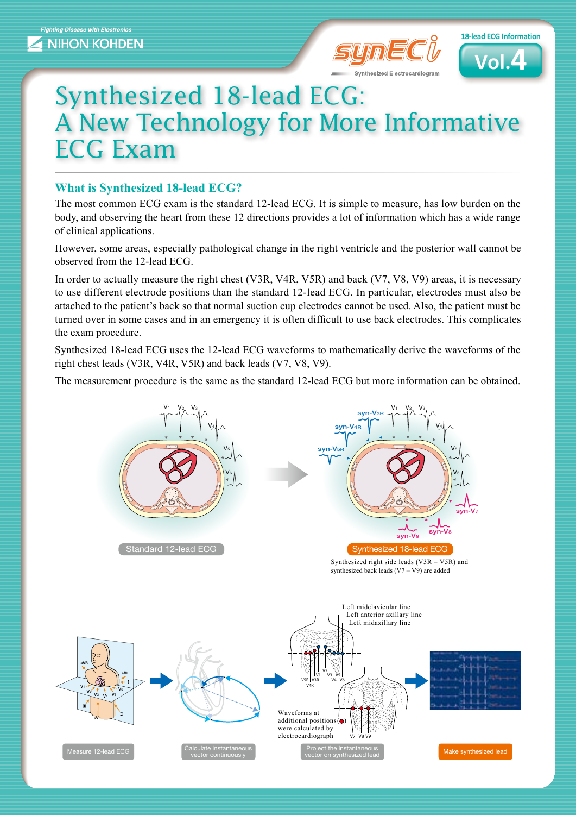



## Synthesized 18-lead ECG: A New Technology for More Informative **ECG Exam**

### **What is Synthesized 18-lead ECG?**

The most common ECG exam is the standard 12-lead ECG. It is simple to measure, has low burden on the body, and observing the heart from these 12 directions provides a lot of information which has a wide range of clinical applications.

However, some areas, especially pathological change in the right ventricle and the posterior wall cannot be observed from the  $12$ -lead ECG.

In order to actually measure the right chest (V3R, V4R, V5R) and back (V7, V8, V9) areas, it is necessary to use different electrode positions than the standard 12-lead ECG. In particular, electrodes must also be attached to the patient's back so that normal suction cup electrodes cannot be used. Also, the patient must be turned over in some cases and in an emergency it is often difficult to use back electrodes. This complicates the exam procedure.

Synthesized 18-lead ECG uses the 12-lead ECG waveforms to mathematically derive the waveforms of the right chest leads (V3R, V4R, V5R) and back leads  $(V7, V8, V9)$ .

The measurement procedure is the same as the standard 12-lead ECG but more information can be obtained.